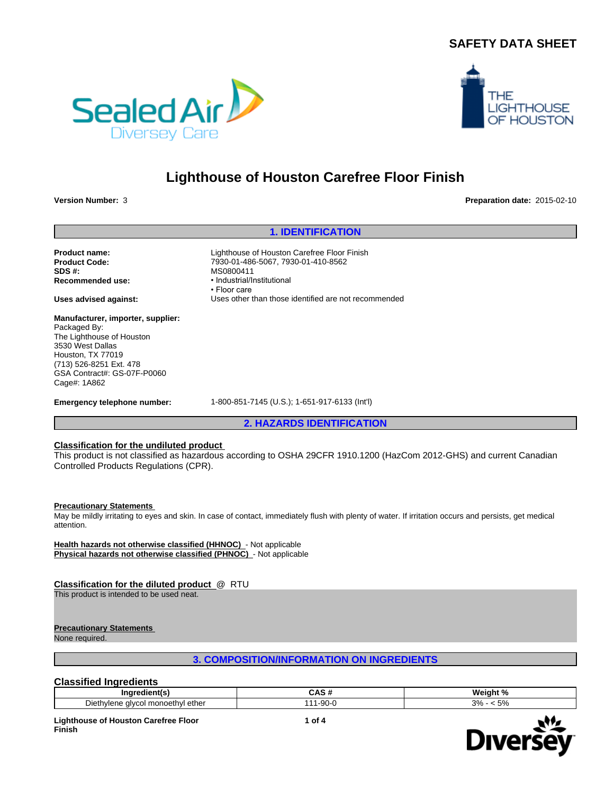## **SAFETY DATA SHEET**





# **Lighthouse of Houston Carefree Floor Finish**

**Version Number:** 3 **Preparation date:** 2015-02-10

## **1. IDENTIFICATION**

**SDS #:**<br> **Recommended use:**<br> **Recommended use:**<br> **e** Industrial/li

**Manufacturer, importer, supplier:** Packaged By: The Lighthouse of Houston 3530 West Dallas Houston, TX 77019 (713) 526-8251 Ext. 478 GSA Contract#: GS-07F-P0060 Cage#: 1A862

**Product name:** Lighthouse of Houston Carefree Floor Finish **Product Code:** 7930-01-486-5067, 7930-01-410-8562 **Recommended use:** •Industrial/Institutional • Floor care **Uses advised against:** Uses other than those identified are not recommended

**Emergency telephone number:** 1-800-851-7145 (U.S.); 1-651-917-6133 (Int'l)

**2. HAZARDS IDENTIFICATION**

## **Classification for the undiluted product**

This product is not classified as hazardous according to OSHA 29CFR 1910.1200 (HazCom 2012-GHS) and current Canadian Controlled Products Regulations (CPR).

#### **Precautionary Statements**

May be mildly irritating to eyes and skin. In case of contact, immediately flush with plenty of water. If irritation occurs and persists, get medical attention.

**Health hazards not otherwise classified (HHNOC)** - Not applicable **Physical hazards not otherwise classified (PHNOC)** - Not applicable

## **Classification for the diluted product** @ RTU

This product is intended to be used neat.

## **Precautionary Statements**

None required.

**3. COMPOSITION/INFORMATION ON INGREDIENTS**

## **Classified Ingredients**

| <b>Indredient(s)</b>                                 |                                          | <b>185</b><br>velant<br>- 70    |
|------------------------------------------------------|------------------------------------------|---------------------------------|
| Diethvlen<br>e alvcol monoethvl<br>. ether<br>$\sim$ | $\sim$<br>$-4$<br>ົ! ພ<br>$\overline{u}$ | c<br>$\mathbf{u}$<br><u>v/t</u> |

**Lighthouse of Houston Carefree Floor Finish**

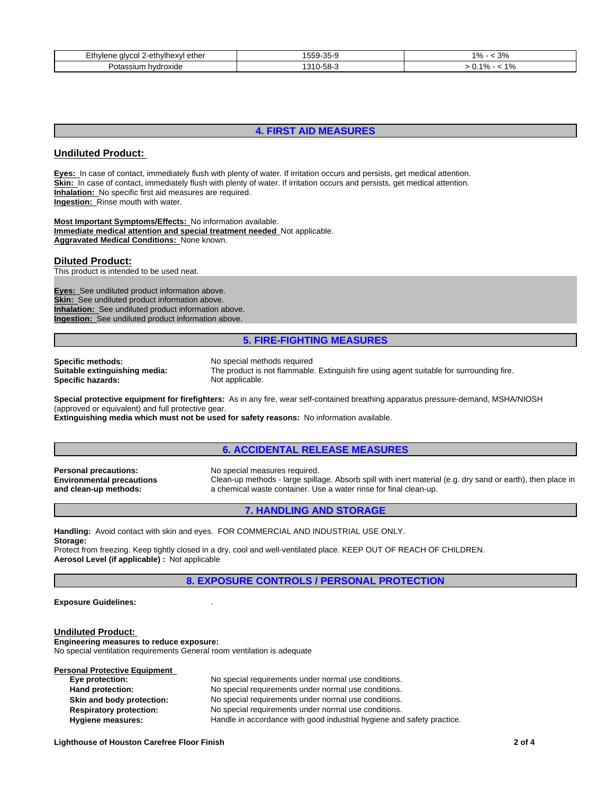| Ethvlene<br>-ethvlhexvl ether<br>vcol<br>. GIV | 25.<br>.555<br>∽~<br>.<br>. | $\sim$<br>70<br><u> U / I</u> |
|------------------------------------------------|-----------------------------|-------------------------------|
| Potassium<br>hvdroxide                         | EΩ<br>310.<br>-၁၀-          | 1 O /<br>. 70<br>U.           |

## **4. FIRST AID MEASURES**

## **Undiluted Product:**

**Eyes:** In case of contact, immediately flush with plenty of water. If irritation occurs and persists, get medical attention. Skin: In case of contact, immediately flush with plenty of water. If irritation occurs and persists, get medical attention. **Inhalation:** No specific first aid measures are required. **Ingestion:** Rinse mouth with water.

**Most Important Symptoms/Effects:** No information available. **Immediate medical attention and special treatment needed** Not applicable. **Aggravated Medical Conditions:** None known.

## **Diluted Product:**

This product is intended to be used neat.

**Eyes:** See undiluted product information above. **Skin:** See undiluted product information above. **Inhalation:** See undiluted product information above. **Ingestion:** See undiluted product information above.

## **5. FIRE-FIGHTING MEASURES**

**Specific methods:** No special methods required<br> **Suitable extinguishing media:** The product is not flammable **Specific hazards:** 

The product is not flammable. Extinguish fire using agent suitable for surrounding fire.<br>Not applicable.

**Special protective equipment for firefighters:** As in any fire, wear self-contained breathing apparatus pressure-demand, MSHA/NIOSH (approved or equivalent) and full protective gear.

**Extinguishing media which must not be used for safety reasons:** No information available.

## **6. ACCIDENTAL RELEASE MEASURES**

**Environmental precautions and clean-up methods:**

**Personal precautions:** No special measures required. Clean-up methods - large spillage. Absorb spill with inert material (e.g. dry sand or earth), then place in a chemical waste container. Use a water rinse for final clean-up.

#### **7. HANDLING AND STORAGE**

**Handling:** Avoid contact with skin and eyes. FOR COMMERCIAL AND INDUSTRIAL USE ONLY. **Storage:**

Protect from freezing. Keep tightly closed in a dry, cool and well-ventilated place. KEEP OUT OF REACH OF CHILDREN. **Aerosol Level (if applicable) :** Not applicable

**8. EXPOSURE CONTROLS / PERSONAL PROTECTION**

#### **Exposure Guidelines:** .

**Undiluted Product: Engineering measures to reduce exposure:** No special ventilation requirements General room ventilation is adequate

| <b>Personal Protective Equipment</b> |                                                                        |
|--------------------------------------|------------------------------------------------------------------------|
| Eye protection:                      | No special requirements under normal use conditions.                   |
| Hand protection:                     | No special requirements under normal use conditions.                   |
| Skin and body protection:            | No special requirements under normal use conditions.                   |
| <b>Respiratory protection:</b>       | No special requirements under normal use conditions.                   |
| Hygiene measures:                    | Handle in accordance with good industrial hygiene and safety practice. |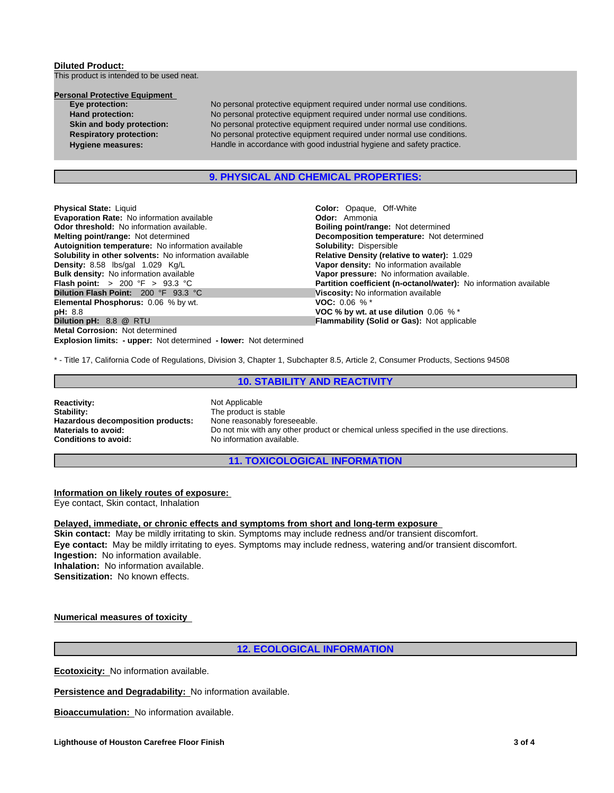## **Diluted Product:**  This product is intended to be used neat.

| <b>Personal Protective Equipment</b> |   |
|--------------------------------------|---|
| Eye protection:                      | N |
| <b>Hand protection:</b>              | N |
| Skin and body protection:            | N |
| <b>Respiratory protection:</b>       | N |
|                                      |   |

No personal protective equipment required under normal use conditions. No personal protective equipment required under normal use conditions. No personal protective equipment required under normal use conditions. No personal protective equipment required under normal use conditions. **Hygiene measures:** Handle in accordance with good industrial hygiene and safety practice.

## **9. PHYSICAL AND CHEMICAL PROPERTIES:**

**Explosion limits: - upper:** Not determined **- lower:** Not determined **Physical State:** Liquid **Color: Color:** Opaque, Off-White **Color: Color: Color: Color: Color: Color: Color: Color: Color: Color: Color: Color: Color: Color: Color: Color: Color: Color: Evaporation Rate: No information available Odor threshold:** No information available. **Boiling point/range: Not determined Melting point/range:** Not determined **Melting point/range:** Not determined **Autoignition temperature:** No information available **Solubility:** Dispersible **Solubility in other solvents: No information available Density: 8.58 lbs/gal 1.029 Kg/L Density:** 8.58 lbs/gal 1.029 Kg/L **Vapor density:** No information available **Bulk density:** No information available **Vapor pressure:** No information available.<br> **Flash point:** > 200 °F > 93.3 °C **Partition coefficient (n-octanol/water):** N **Dilution Flash Point:** 200 °F 93.3 °C **Viscosity:** No information available<br> **Elemental Phosphorus:** 0.06 % by wt. **VOC:** 0.06 % \* **Elemental Phosphorus: 0.06 % by wt. pH:** 8.8 **VOC % by wt. at use dilution** 0.06 % \* **Metal Corrosion:** Not determined

**Decomposition temperature:** Not determined **Partition coefficient (n-octanol/water):** No information available **Flammability (Solid or Gas):** Not applicable

\* - Title 17, California Code of Regulations, Division 3, Chapter 1, Subchapter 8.5, Article 2, Consumer Products, Sections 94508

## **10. STABILITY AND REACTIVITY**

**Reactivity:** Not Applicable<br> **Stability:** The product is Hazardous decomposition products:

The product is stable<br>None reasonably foreseeable. **Materials to avoid:** Do not mix with any other product or chemical unless specified in the use directions.<br> **Conditions to avoid:** No information available. **Conditions to avoid:** No information available.

**11. TOXICOLOGICAL INFORMATION**

## **Information on likely routes of exposure:**

Eye contact, Skin contact, Inhalation

**Delayed, immediate, or chronic effects and symptoms from short and long-term exposure Skin contact:** May be mildly irritating to skin. Symptoms may include redness and/or transient discomfort. **Eye contact:** May be mildly irritating to eyes. Symptoms may include redness, watering and/or transient discomfort. **Ingestion:** No information available. **Inhalation:** No information available. **Sensitization:** No known effects.

## **Numerical measures of toxicity**

## **12. ECOLOGICAL INFORMATION**

**Ecotoxicity:** No information available.

**Persistence and Degradability:** No information available.

**Bioaccumulation:** No information available.